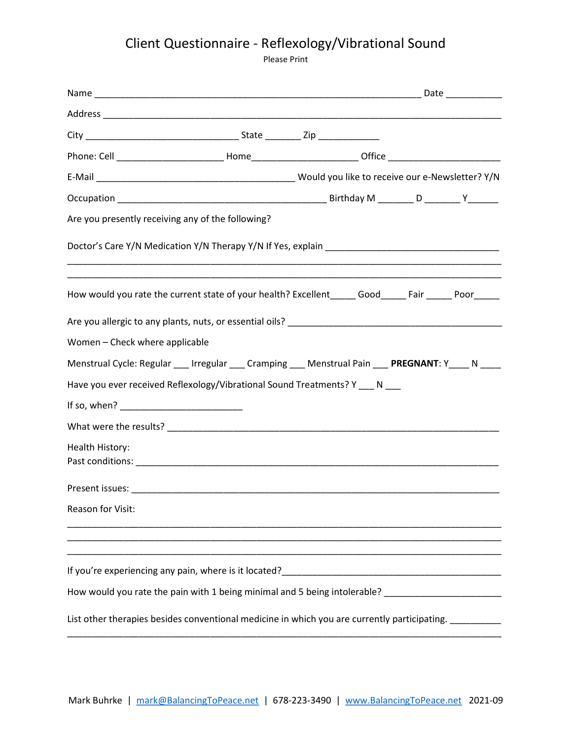## Client Questionnaire - Reflexology/Vibrational Sound

Please Print

| Are you presently receiving any of the following?                                                          |  |
|------------------------------------------------------------------------------------------------------------|--|
|                                                                                                            |  |
| How would you rate the current state of your health? Excellent________ Good_______ Fair _______ Poor______ |  |
|                                                                                                            |  |
| Women - Check where applicable                                                                             |  |
| Menstrual Cycle: Regular ___ Irregular ___ Cramping ___ Menstrual Pain ___ PREGNANT: Y____ N ____          |  |
| Have you ever received Reflexology/Vibrational Sound Treatments? Y __ N __                                 |  |
|                                                                                                            |  |
|                                                                                                            |  |
| Health History:                                                                                            |  |
|                                                                                                            |  |
| Reason for Visit:                                                                                          |  |
|                                                                                                            |  |
| How would you rate the pain with 1 being minimal and 5 being intolerable? ________________________         |  |
| List other therapies besides conventional medicine in which you are currently participating. __________    |  |